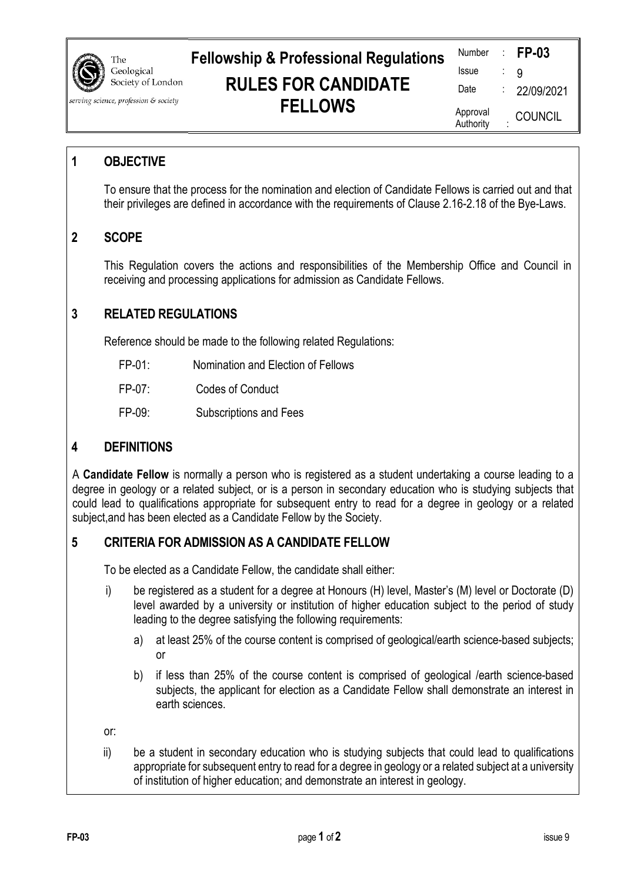|                                     | The                             | <b>Fellowship &amp; Professional Regulations</b> | Number                | <b>FP-03</b>                  |
|-------------------------------------|---------------------------------|--------------------------------------------------|-----------------------|-------------------------------|
| G                                   | Geological<br>Society of London |                                                  | <b>Issue</b>          |                               |
|                                     |                                 | <b>RULES FOR CANDIDATE</b>                       | Date                  | 22/09/2021                    |
| rving science, profession & society |                                 | <b>FELLOWS</b>                                   | Approval<br>Authority | $\parallel$<br><b>COUNCIL</b> |

### **1 OBJECTIVE**

To ensure that the process for the nomination and election of Candidate Fellows is carried out and that their privileges are defined in accordance with the requirements of Clause 2.16-2.18 of the Bye-Laws.

# **2 SCOPE**

This Regulation covers the actions and responsibilities of the Membership Office and Council in receiving and processing applications for admission as Candidate Fellows.

# **3 RELATED REGULATIONS**

Reference should be made to the following related Regulations:

- FP-01: Nomination and Election of Fellows
- FP-07: Codes of Conduct
- FP-09: Subscriptions and Fees

### **4 DEFINITIONS**

A **Candidate Fellow** is normally a person who is registered as a student undertaking a course leading to a degree in geology or a related subject, or is a person in secondary education who is studying subjects that could lead to qualifications appropriate for subsequent entry to read for a degree in geology or a related subject,and has been elected as a Candidate Fellow by the Society.

# **5 CRITERIA FOR ADMISSION AS A CANDIDATE FELLOW**

To be elected as a Candidate Fellow, the candidate shall either:

- i) be registered as a student for a degree at Honours (H) level, Master's (M) level or Doctorate (D) level awarded by a university or institution of higher education subject to the period of study leading to the degree satisfying the following requirements:
	- a) at least 25% of the course content is comprised of geological/earth science-based subjects; or
	- b) if less than 25% of the course content is comprised of geological /earth science-based subjects, the applicant for election as a Candidate Fellow shall demonstrate an interest in earth sciences.

or:

ii) be a student in secondary education who is studying subjects that could lead to qualifications appropriate for subsequent entry to read for a degree in geology or a related subject at a university of institution of higher education; and demonstrate an interest in geology.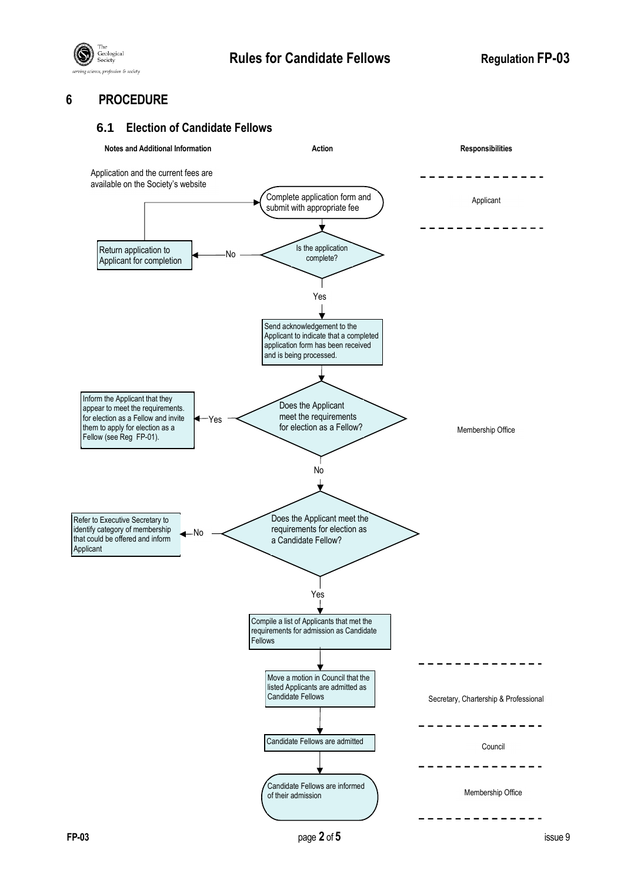

# **6 PROCEDURE**

#### **6.1 Election of Candidate Fellows**

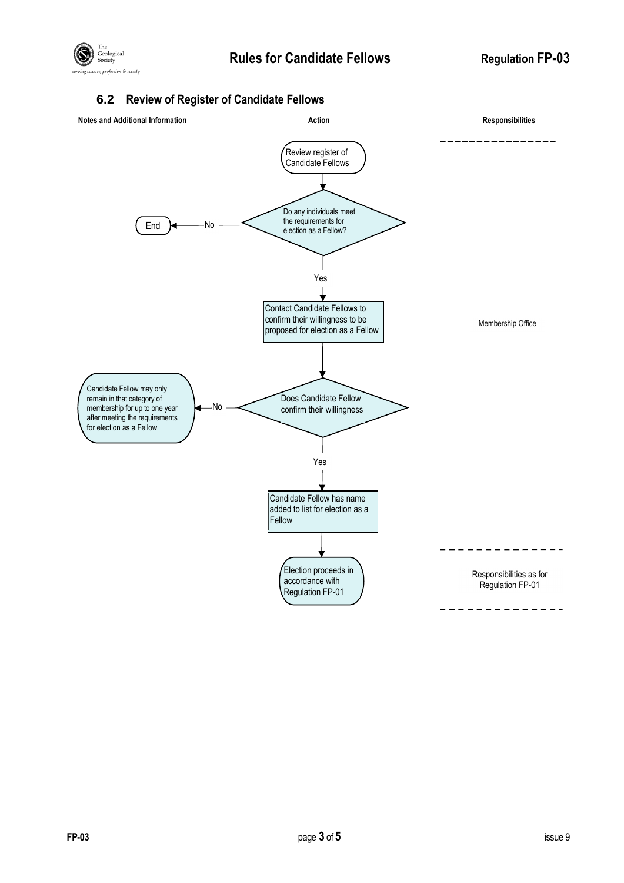

# **6.2 Review of Register of Candidate Fellows**

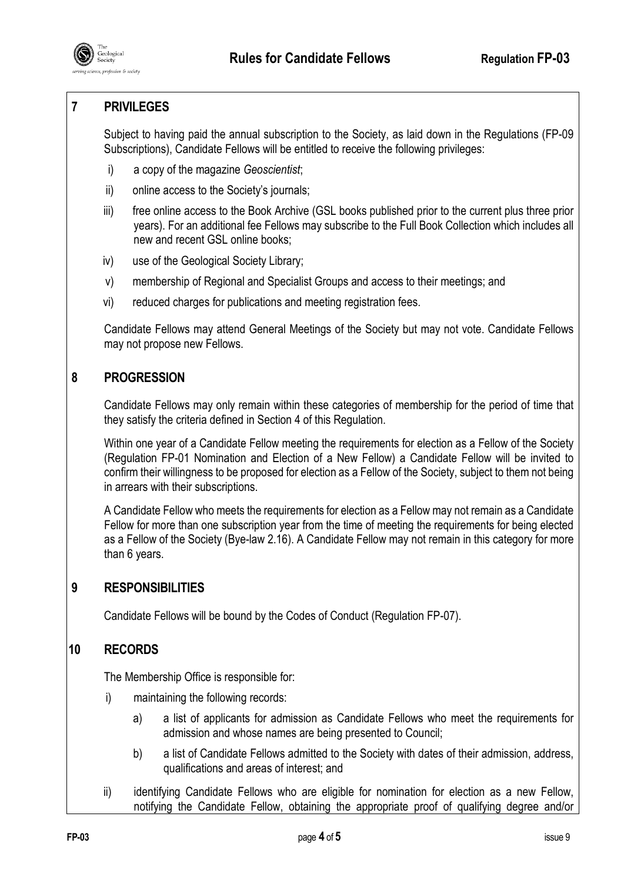

# **7 PRIVILEGES**

Subject to having paid the annual subscription to the Society, as laid down in the Regulations (FP-09 Subscriptions), Candidate Fellows will be entitled to receive the following privileges:

- i) a copy of the magazine *Geoscientist*;
- ii) online access to the Society's journals;
- iii) free online access to the Book Archive (GSL books published prior to the current plus three prior years). For an additional fee Fellows may subscribe to the Full Book Collection which includes all new and recent GSL online books;
- iv) use of the Geological Society Library;
- v) membership of Regional and Specialist Groups and access to their meetings; and
- vi) reduced charges for publications and meeting registration fees.

Candidate Fellows may attend General Meetings of the Society but may not vote. Candidate Fellows may not propose new Fellows.

# **8 PROGRESSION**

Candidate Fellows may only remain within these categories of membership for the period of time that they satisfy the criteria defined in Section 4 of this Regulation.

Within one year of a Candidate Fellow meeting the requirements for election as a Fellow of the Society (Regulation FP-01 Nomination and Election of a New Fellow) a Candidate Fellow will be invited to confirm their willingness to be proposed for election as a Fellow of the Society, subject to them not being in arrears with their subscriptions.

A Candidate Fellow who meets the requirements for election as a Fellow may not remain as a Candidate Fellow for more than one subscription year from the time of meeting the requirements for being elected as a Fellow of the Society (Bye-law 2.16). A Candidate Fellow may not remain in this category for more than 6 years.

# **9 RESPONSIBILITIES**

Candidate Fellows will be bound by the Codes of Conduct (Regulation FP-07).

#### **10 RECORDS**

The Membership Office is responsible for:

- i) maintaining the following records:
	- a) a list of applicants for admission as Candidate Fellows who meet the requirements for admission and whose names are being presented to Council;
	- b) a list of Candidate Fellows admitted to the Society with dates of their admission, address, qualifications and areas of interest; and
- ii) identifying Candidate Fellows who are eligible for nomination for election as a new Fellow, notifying the Candidate Fellow, obtaining the appropriate proof of qualifying degree and/or